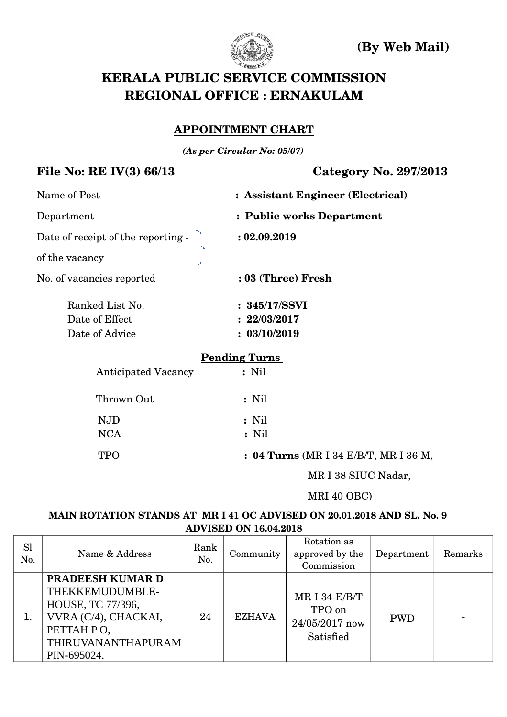

 **(By Web Mail)**

# **KERALA PUBLIC SERVICE COMMISSION REGIONAL OFFICE : ERNAKULAM**

## **APPOINTMENT CHART**

*(As per Circular No: 05/07)*

## **File No: RE IV(3) 66/13 Category No. 297/2013**

| Name of Post                       | : Assistant Engineer (Electrical) |
|------------------------------------|-----------------------------------|
| Department                         | : Public works Department         |
| Date of receipt of the reporting - | : 02.09.2019                      |
| of the vacancy                     |                                   |
| No. of vacancies reported          | : 03 (Three) Fresh                |
| Ranked List No.                    | : 345/17/SSVI                     |
| Date of Effect                     | : 22/03/2017                      |
| Date of Advice                     | : 03/10/2019                      |
|                                    | <b>Pending Turns</b>              |
| <b>Anticipated Vacancy</b>         | $:$ Nil                           |
| Thrown Out                         | $:$ Nil                           |
| <b>NJD</b>                         | $:$ Nil                           |
| <b>NCA</b>                         | $:$ Nil                           |
|                                    |                                   |

TPO  **: 04 Turns** (MR I 34 E/B/T, MR I 36 M,

MR I 38 SIUC Nadar,

### MRI 40 OBC)

#### **MAIN ROTATION STANDS AT MR I 41 OC ADVISED ON 20.01.2018 AND SL. No. 9 ADVISED ON 16.04.2018**

| <b>Sl</b><br>No. | Name & Address                                                                                                                                    | Rank<br>No. | Community     | Rotation as<br>approved by the<br>Commission             | Department | Remarks |
|------------------|---------------------------------------------------------------------------------------------------------------------------------------------------|-------------|---------------|----------------------------------------------------------|------------|---------|
|                  | <b>PRADEESH KUMAR D</b><br>THEKKEMUDUMBLE-<br><b>HOUSE, TC 77/396,</b><br>VVRA (C/4), CHACKAI,<br>PETTAH PO,<br>THIRUVANANTHAPURAM<br>PIN-695024. | 24          | <b>EZHAVA</b> | MR I 34 $E/B/T$<br>TPO on<br>24/05/2017 now<br>Satisfied | <b>PWD</b> |         |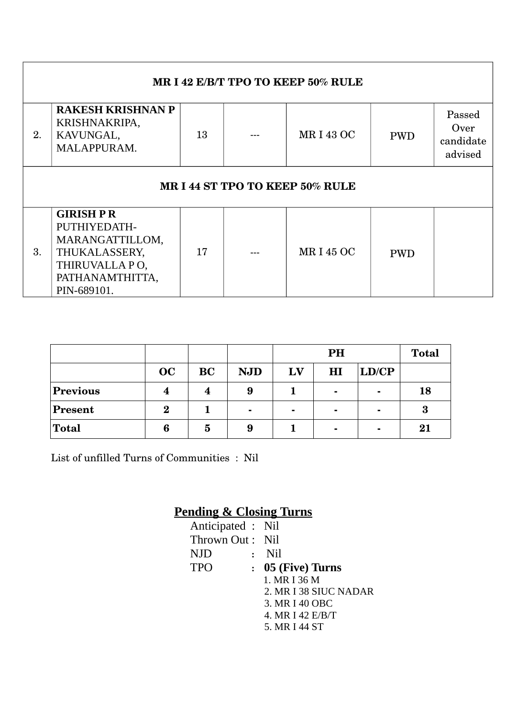| MR I 42 E/B/T TPO TO KEEP 50% RULE                                                                                                                          |                                                                                                                          |    |  |                 |            |  |  |  |  |  |  |
|-------------------------------------------------------------------------------------------------------------------------------------------------------------|--------------------------------------------------------------------------------------------------------------------------|----|--|-----------------|------------|--|--|--|--|--|--|
| <b>RAKESH KRISHNAN P</b><br>Passed<br>KRISHNAKRIPA,<br>Over<br><b>MRI430C</b><br>13<br>2.<br>KAVUNGAL,<br><b>PWD</b><br>candidate<br>MALAPPURAM.<br>advised |                                                                                                                          |    |  |                 |            |  |  |  |  |  |  |
| MR I 44 ST TPO TO KEEP 50% RULE                                                                                                                             |                                                                                                                          |    |  |                 |            |  |  |  |  |  |  |
| 3.                                                                                                                                                          | <b>GIRISH PR</b><br>PUTHIYEDATH-<br>MARANGATTILLOM,<br>THUKALASSERY,<br>THIRUVALLA PO,<br>PATHANAMTHITTA,<br>PIN-689101. | 17 |  | <b>MRI45 OC</b> | <b>PWD</b> |  |  |  |  |  |  |

|                 |          |           |            |                | <b>Total</b>   |                |          |
|-----------------|----------|-----------|------------|----------------|----------------|----------------|----------|
|                 | OC       | <b>BC</b> | <b>NJD</b> | LV             | $\mathbf{H}$   | LD/CP          |          |
| <b>Previous</b> | 4        | 4         | 9          |                | $\blacksquare$ | $\blacksquare$ | 18       |
| <b>Present</b>  | $\bf{2}$ |           | ۰          | $\blacksquare$ | $\blacksquare$ | $\blacksquare$ | $\bf{3}$ |
| <b>Total</b>    | 6        | 5         | 9          |                | $\blacksquare$ | ۰              | 21       |

List of unfilled Turns of Communities : Nil

# **Pending & Closing Turns**

| Anticipated : Nil |                |                       |
|-------------------|----------------|-----------------------|
|                   |                |                       |
| Thrown Out: Nil   |                |                       |
| <b>NJD</b>        |                | : Nil                 |
| <b>TPO</b>        | $\ddot{\cdot}$ | 05 (Five) Turns       |
|                   |                | 1. MR I 36 M          |
|                   |                | 2. MR I 38 SIUC NADAR |
|                   |                | 3. MR I 40 OBC        |
|                   |                | 4. MR I 42 E/B/T      |
|                   |                | 5. MR I 44 ST         |
|                   |                |                       |